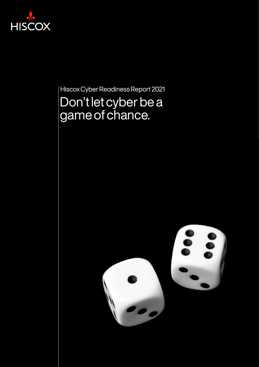

Hiscox Cyber Readiness Report 2021

# Don't let cyber be a game of chance.

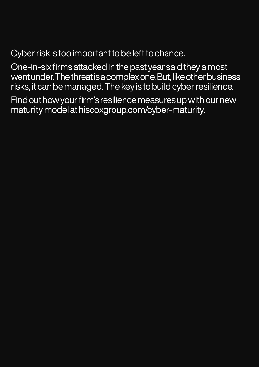Cyber risk is too important to be left to chance.

One-in-six firms attacked in the past year said they almost went under. The threat is a complex one. But, like other business risks, it can be managed. The key is to build cyber resilience.

Find out how your firm's resilience measures up with our new maturity model at [hiscoxgroup.com/cyber-maturity.](https://hiscoxgroup.com/cyber-maturity)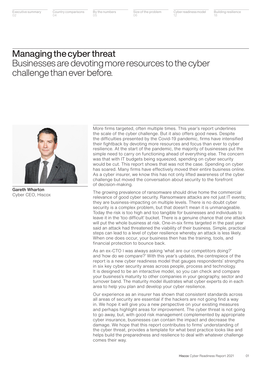Size of the problem 06

## Managing the cyber threat Businesses are devoting more resources to the cyber challenge than ever before.



Gareth Wharton Cyber CEO, Hiscox

More firms targeted, often multiple times. This year's report underlines the scale of the cyber challenge. But it also offers good news. Despite the difficulties presented by the Covid-19 pandemic, firms have intensified their fightback by devoting more resources and focus than ever to cyber resilience. At the start of the pandemic, the majority of businesses put the simple need to carry on functioning ahead of everything else. The concern was that with IT budgets being squeezed, spending on cyber security would be cut. This report shows that was not the case. Spending on cyber has soared. Many firms have effectively moved their entire business online. As a cyber insurer, we know this has not only lifted awareness of the cyber challenge but moved the conversation about security to the forefront of decision-making.

The growing prevalence of ransomware should drive home the commercial relevance of good cyber security. Ransomware attacks are not just IT events; they are business-impacting on multiple levels. There is no doubt cyber security is a complex problem, but that doesn't mean it is unmanageable. Today the risk is too high and too tangible for businesses and individuals to leave it in the 'too difficult' bucket. There is a genuine chance that one attack will put the whole business at risk. One-in-six firms targeted in the past year said an attack had threatened the viability of their business. Simple, practical steps can lead to a level of cyber resilience whereby an attack is less likely. When one does occur, your business then has the training, tools, and financial protection to bounce back.

As an ex-CTO I was always asking 'what are our competitors doing?' and 'how do we compare?' With this year's updates, the centrepiece of the report is a new cyber readiness model that gauges respondents' strengths in six key cyber security areas across people, process and technology. It is designed to be an interactive model, so you can check and compare your business's maturity to other companies in your geography, sector and turnover band. The maturity model illustrates what cyber experts do in each area to help you plan and develop your cyber resilience.

Our experience as an insurer has shown that consistent standards across all areas of security are essential if the hackers are not going find a way in. We hope it will give you a new perspective on your existing measures and perhaps highlight areas for improvement. The cyber threat is not going to go away, but, with good risk management complemented by appropriate cyber insurance, businesses can contain the impact and decrease the damage. We hope that this report contributes to firms' understanding of the cyber threat, provides a template for what best practice looks like and helps build the preparedness and resilience to deal with whatever challenge comes their way.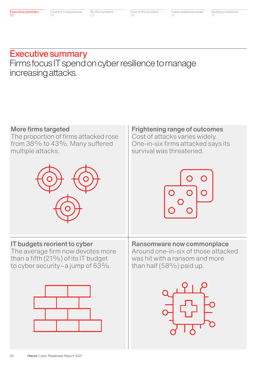Size of the problem 06

## Executive summary

Firms focus IT spend on cyber resilience to manage increasing attacks.

### More firms targeted

The proportion of firms attacked rose from 38% to 43%. Many suffered multiple attacks.



## IT budgets reorient to cyber

The average firm now devotes more than a fifth (21%) of its IT budget to cyber security – a jump of 63%.



Frightening range of outcomes Cost of attacks varies widely. One-in-six firms attacked says its survival was threatened.



Ransomware now commonplace Around one-in-six of those attacked was hit with a ransom and more than half (58%) paid up.

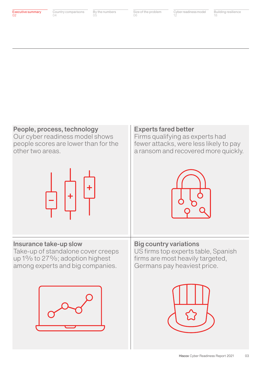## People, process, technology

Our cyber readiness model shows people scores are lower than for the other two areas.



## Insurance take-up slow

Take-up of standalone cover creeps up 1% to 27%; adoption highest among experts and big companies.



### Experts fared better

Firms qualifying as experts had fewer attacks, were less likely to pay a ransom and recovered more quickly.



Big country variations US firms top experts table, Spanish firms are most heavily targeted, Germans pay heaviest price.

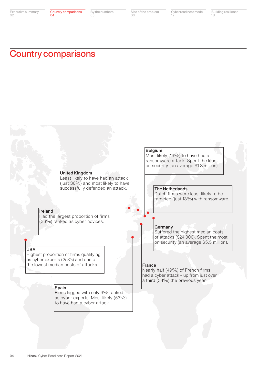## Country comparisons



USA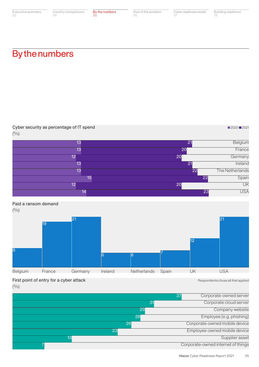Size of the problem 06

Cyber readiness model 12

Building resilience 18

■2020 2021

## By the numbers

Cyber security as percentage of IT spend

| (0/0)                                           | and the con- |                 |                |             |       |                 |                 |
|-------------------------------------------------|--------------|-----------------|----------------|-------------|-------|-----------------|-----------------|
|                                                 |              | 13              |                |             |       | 21              | Belgium         |
|                                                 |              | 13              |                |             | 20    |                 | France          |
|                                                 |              | 12              |                |             | 20    |                 | Germany         |
|                                                 |              | 13              |                |             |       | 21              | Ireland         |
|                                                 |              | 13              |                |             |       | $\overline{22}$ | The Netherlands |
|                                                 |              | 15              |                |             |       | 22              | Spain           |
|                                                 |              | 12              |                |             | 20    |                 | UK              |
|                                                 |              | 14              |                |             |       | $\overline{23}$ | <b>USA</b>      |
| Paid a ransom demand<br>(0/0)<br>$\overline{8}$ | 19           | $\overline{21}$ | $\overline{6}$ | 6           |       | $ 12\rangle$    | 21              |
| <b>Belgium</b>                                  | France       | Germany         | Ireland        | Netherlands | Spain | UK              | <b>USA</b>      |

First point of entry for a cyber attack and the state of the state and the sepondents chose all that applied

 $(9/0)$ 

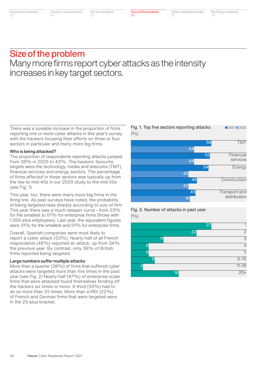Size of the problem 06

TMT

Energy

Construction

Transport and distribution

Financial services

## Size of the problem Many more firms report cyber attacks as the intensity increases in key target sectors.

There was a sizeable increase in the proportion of firms reporting one or more cyber attacks in this year's survey, with the hackers focusing their efforts on three or four sectors in particular and many more big firms.

#### Who is being attacked?

The proportion of respondents reporting attacks jumped from 38% in 2020 to 43%. The hackers' favourite targets were the technology, media and telecoms (TMT), financial services and energy sectors. The percentage of firms affected in these sectors was typically up from the low-to mid-40s in our 2020 study to the mid-50s (see Fig. 1).

This year, too, there were many more big firms in the firing line. As past surveys have noted, the probability of being targeted rises sharply according to size of firm. This year there was a much steeper curve – from 23% for the smallest to 61% for enterprise firms (those with 1,000-plus employees). Last year, the equivalent figures were 31% for the smallest and 51% for enterprise firms.

Overall, Spanish companies were most likely to report a cyber attack (53%). Nearly half of all French respondents (49%) reported an attack, up from 34% the previous year. By contrast, only 36% of British firms reported being targeted.

#### Large numbers suffer multiple attacks

More than a quarter (28%) of firms that suffered cyber attacks were targeted more than five times in the past year (see Fig. 2) Nearly half (47%) of enterprise-scale firms that were attacked found themselves fending off the hackers six times or more. A third (33%) had to do so more than 25 times. More than a fifth (22%) of French and German firms that were targeted were in the 25-plus bracket.

Fig. 1. Top five sectors reporting attacks  $(9/0)$ **2021 2020** 

56

## Fig. 2. Number of attacks in past year 45 41

 $(9/0)$ 

|                 | $\overline{27}$<br>1 |
|-----------------|----------------------|
|                 | $\overline{2}$<br>22 |
| 11              | $\overline{3}$       |
| 6               | $\overline{4}$       |
| 6               | $\overline{5}$       |
| 8               | $6 - 10$             |
| D               | $11 - 19$            |
| $\overline{16}$ | $\frac{20+}{7}$      |
|                 |                      |

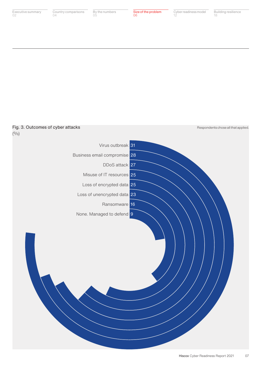Building resilience 18

Respondents chose all that applied.

### Fig. 3. Outcomes of cyber attacks

 $(9/0)$ 

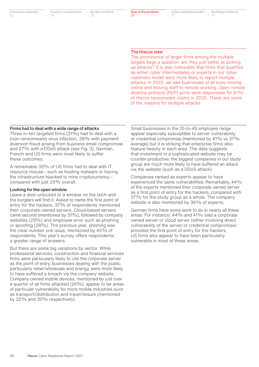Country comparisons  $04$ 

By the numbers 05

Size of the problem 06

Cyber readiness model 12

Building resilience 18

#### The Hiscox view

The prominence of larger firms among the multiple targets begs a question: are they just better at picking up attacks? It is also noticeable that firms that qualified as either cyber intermediates or experts in our cyber readiness model were more likely to report multiple attacks. In 2020, we saw businesses of all sizes moving online and moving staff to remote working. Open remote desktop protocol (RDP) ports were responsible for 61% of Hiscox ransomware claims in 2020. These are some of the reasons for multiple attacks.

#### Firms had to deal with a wide range of attacks

Three-in-ten targeted firms (31%) had to deal with a (non-ransomware) virus infection, 28% with payment diversion fraud arising from business email compromise and 27% with a DDoS attack (see Fig. 3). German, French and US firms were most likely to suffer these outcomes.

A remarkable 39% of US firms had to deal with IT resource misuse – such as hosting malware or having the infrastructure hijacked to mine cryptocurrency – compared with just 25% overall.

#### Looking for the open window

Leave a door unlocked or a window on the latch and the burglars will find it. Asked to name the first point of entry for the hackers, 37% of respondents mentioned their corporate-owned servers. Cloud-based servers came second (mentioned by 31%), followed by company websites (29%) and employee error such as phishing or spoofing (28%). The previous year, phishing was the clear number one issue, mentioned by 45% of respondents. This year's survey offers respondents a greater range of answers.

But there are some big variations by sector. While professional services, construction and financial services firms were particularly likely to cite the corporate server as the point of entry, businesses dealing with the public, particularly retail/wholesale and energy, were more likely to have suffered a breach via the company website. Company owned mobile devices, mentioned by just over a quarter of all firms attacked (26%), appear to be areas of particular vulnerability for more mobile industries such as transport/distribution and travel/leisure (mentioned by 32% and 30% respectively).

Small businesses in the 10-to-49 employee range appear especially susceptible to server vulnerability or credential compromise (mentioned by 41% vs 37% average) but it is striking that enterprise firms also feature heavily in each area. The data suggests that investment in a sophisticated website may be counter-productive: the biggest companies in our study group are much more likely to have suffered an attack via the website (such as a DDoS attack).

Companies ranked as experts appear to have experienced the same vulnerabilities. Remarkably, 44% of the experts mentioned their corporate owned server as a first point of entry for the hackers, compared with 37% for the study group as a whole. The company website is also mentioned by 36% of experts.

German firms have some work to do in nearly all these areas. For instance, 44% and 41% said a corporate owned server or cloud server (either involving direct vulnerability of the server or credential compromise) provided the first point of entry for the hackers. US firms also appear to have been particularly vulnerable in most of these areas.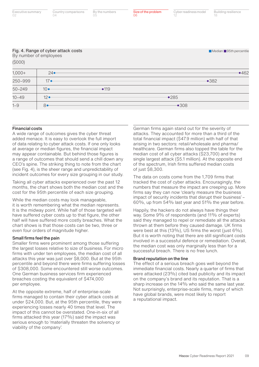| (5000)     | Fig. 4. Range of cyber attack costs<br>By number of employees |      | Median 95th percentile |
|------------|---------------------------------------------------------------|------|------------------------|
| $1,000+$   | 24                                                            |      | •462                   |
| 250-999    | 17                                                            |      | •382                   |
| $50 - 249$ | $10 -$                                                        | •119 |                        |
| $10 - 49$  | $12$ $\bullet$                                                |      | •285                   |
| $1 - 9$    | $8 -$                                                         |      | $-308$                 |

Size of the problem

06

By the numbers

05

Country comparisons

 $04$ 

#### Financial costs

Executive summary

02

A wide range of outcomes gives the cyber threat added menace. It is easy to overlook the full import of data relating to cyber attack costs. If one only looks at average or median figures, the financial impact may appear containable. But behind those figures is a range of outcomes that should send a chill down any CEO's spine. The striking thing to note from the chart (see Fig. 4), is the sheer range and unpredictability of incident outcomes for every size grouping in our study.

Taking all cyber attacks experienced over the past 12 months, the chart shows both the median cost and the cost for the 95th percentile of each size grouping.

While the median costs may look manageable, it is worth remembering what the median represents. It is the midway point. While half of those targeted will have suffered cyber costs up to that figure, the other half will have suffered more costly breaches. What the chart shows is that those costs can be two, three or even four orders of magnitude higher.

#### Small firms feel the pain

Smaller firms were prominent among those suffering the largest losses relative to size of business. For micro firms with under ten employees, the median cost of all attacks this year was just over \$8,000. But at the 95th percentile and beyond there were firms suffering losses of \$308,000. Some encountered still worse outcomes. One German business services firm experienced breaches costing the equivalent of \$474,000 per employee.

At the opposite extreme, half of enterprise-scale firms managed to contain their cyber attack costs at under \$24,000. But, at the 95th percentile, they were experiencing losses nearly 40 times that level. The impact of this cannot be overstated. One-in-six of all firms attacked this year (17%) said the impact was serious enough to 'materially threaten the solvency or viability of the company'.

German firms again stand out for the severity of attacks. They accounted for more than a third of the total financial impact (\$47.9 million) with half of that arising in two sectors: retail/wholesale and pharma/ healthcare. German firms also topped the table for the median cost of all cyber attacks (\$23,700) and the single largest attack (\$5.1 million). At the opposite end of the spectrum, Irish firms suffered median costs of just \$8,300.

Cyber readiness model

Building resilience

18

12

The data on costs come from the 1,709 firms that tracked the cost of cyber attacks. Encouragingly, the numbers that measure the impact are creeping up. More firms say they can now 'clearly measure the business impact of security incidents that disrupt their business' – 60%, up from 54% last year and 51% the year before.

Happily, the hackers do not always have things their way. Some 9% of respondents (and 11% of experts) said they managed to repel or remediate all the attacks thrown at them before they caused damage. UK firms were best at this (13%), US firms the worst (just 6%). But it is worth noting that there are still significant costs involved in a successful defence or remediation. Overall, the median cost was only marginally less than for a successful breach. There is no free lunch.

#### Brand reputation on the line

The effect of a serious breach goes well beyond the immediate financial costs. Nearly a quarter of firms that were attacked (23%) cited bad publicity and its impact on the company's brand and its reputation. That is a sharp increase on the 14% who said the same last year. Not surprisingly, enterprise-scale firms, many of which have global brands, were most likely to report a reputational impact.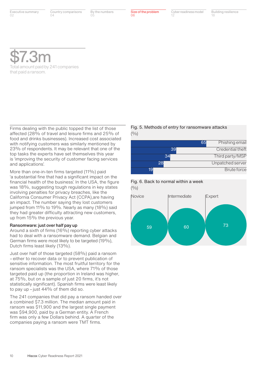Country comparisons  $04$ 

By the numbers 05

Size of the problem

06

Cyber readiness model 12

Building resilience 18

\$7.3m Total amount paid by 241 companies that paid a ransom.

Firms dealing with the public topped the list of those affected (28% of travel and leisure firms and 25% of food and drinks businesses). Increased cost associated with notifying customers was similarly mentioned by 23% of respondents. It may be relevant that one of the top tasks the experts have set themselves this year is 'improving the security of customer facing services and applications'.

More than one-in-ten firms targeted (11%) paid 'a substantial fine that had a significant impact on the financial health of the business'. In the USA, the figure was 18%, suggesting tough regulations in key states involving penalties for privacy breaches, like the California Consumer Privacy Act (CCPA),are having an impact. The number saying they lost customers jumped from 11% to 19%. Nearly as many (18%) said they had greater difficulty attracting new customers, up from 15% the previous year.

#### Ransomware: just over half pay up

Around a sixth of firms (16%) reporting cyber attacks had to deal with a ransomware demand. Belgian and German firms were most likely to be targeted (19%), Dutch firms least likely (13%).

Just over half of those targeted (58%) paid a ransom – either to recover data or to prevent publication of sensitive information. The most fruitful territory for the ransom specialists was the USA, where 71% of those targeted paid up (the proportion in Ireland was higher, at 75%, but on a sample of just 20 firms, it's not statistically significant). Spanish firms were least likely to pay up  $-$  just 44% of them did so.

The 241 companies that did pay a ransom handed over a combined \$7.3 million. The median amount paid in ransom was \$11,900 and the largest single payment was \$94,900, paid by a German entity. A French firm was only a few Dollars behind. A quarter of the companies paying a ransom were TMT firms.

#### Fig. 5. Methods of entry for ransomware attacks  $(9/0)$

|    | Phishing email<br>65 |
|----|----------------------|
| 39 | Credential theft     |
| 34 | Third party/MSP      |
| 28 | Unpatched server     |
| 19 | <b>Brute force</b>   |



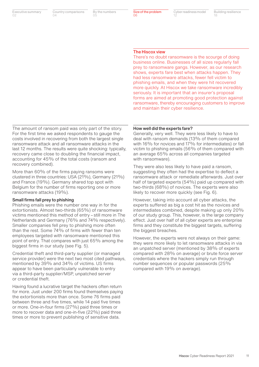Country comparisons  $04$ 

By the numbers 05

Size of the problem 06

Cyber readiness model 12

Building resilience 18

#### The Hiscox view

There's no doubt ransomware is the scourge of doing business online. Businesses of all sizes regularly fall prey to ransomware gangs. However, as our research shows, experts fare best when attacks happen. They had less ransomware attacks, fewer fell victim to phishing emails, and when they were hit recovered more quickly. At Hiscox we take ransomware incredibly seriously. It is important that an insurer's proposal forms are aimed at promoting good protection against ransomware, thereby encouraging customers to improve and maintain their cyber resilience.

The amount of ransom paid was only part of the story. For the first time we asked respondents to gauge the costs involved in recovering from both the largest single ransomware attack and all ransomware attacks in the last 12 months. The results were quite shocking: typically, recovery came close to doubling the financial impact, accounting for 45% of the total costs (ransom and recovery combined).

More than 60% of the firms paying ransoms were clustered in three countries: USA (21%), Germany (21%) and France (19%). Germany shared top spot with Belgium for the number of firms reporting one or more ransomware attacks (19%).

#### Small firms fall prey to phishing

Phishing emails were the number one way in for the extortionists. Almost two-thirds (65%) of ransomware victims mentioned this method of entry – still more in The Netherlands and Germany (76% and 74% respectively). Smaller companies fell prey to phishing more often than the rest. Some 74% of firms with fewer than ten employees targeted with ransomware mentioned this point of entry. That compares with just 65% among the biggest firms in our study (see Fig. 5).

Credential theft and third-party supplier (or managed service provider) were the next two most cited pathways, mentioned by 39% and 34% of victims. US firms appear to have been particularly vulnerable to entry via a third-party supplier/MSP, unpatched server or credential theft.

Having found a lucrative target the hackers often return for more. Just under 200 firms found themselves paying the extortionists more than once. Some 76 firms paid between three and five times, while 14 paid five times or more. One-in-four firms (27%) paid three times or more to recover data and one-in-five (22%) paid three times or more to prevent publishing of sensitive data.

#### How well did the experts fare?

Generally, very well. They were less likely to have to deal with ransom demands (13% of them compared with 16% for novices and 17% for intermediates) or fall victim to phishing emails (56% of them compared with an average 65% across all companies targeted with ransomware).

They were also less likely to have paid a ransom, suggesting they often had the expertise to deflect a ransomware attack or remediate afterwards. Just over half of targeted experts (54%) paid up compared with two-thirds (68%) of novices. The experts were also likely to recover more quickly (see Fig. 6).

However, taking into account all cyber attacks, the experts suffered as big a cost hit as the novices and intermediates combined, despite making up only 20% of our study group. This, however, is the large company effect. Just over half of all cyber experts are enterprise firms and they constitute the biggest targets, suffering the biggest breaches.

However, the experts were not always on their game: they were more likely to let ransomware attacks in via an unpatched server (mentioned by 38% of experts compared with 28% on average) or brute force server credentials where the hackers simply run through number sequences or popular passwords (25% compared with 19% on average).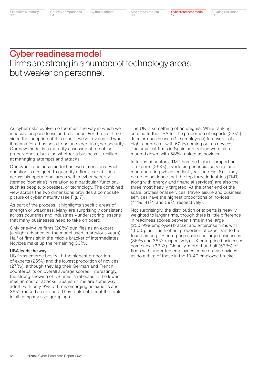Size of the problem 06

Building resilience 18

## Cyber readiness model Firms are strong in a number of technology areas but weaker on personnel.

As cyber risks evolve, so too must the way in which we measure preparedness and resilience. For the first time since the inception of this report, we've revaluated what it means for a business to be an expert in cyber security. Our new model is a maturity assessment of not just preparedness, but also whether a business is resilient at managing attempts and attacks.

Our cyber readiness model has two dimensions. Each question is designed to quantify a firm's capabilities across six operational areas within cyber security (termed 'domains') in relation to a particular 'function', such as people, processes, or technology. The combined view across the two dimensions provides a composite picture of cyber maturity (see Fig. 7).

As part of the process, it highlights specific areas of strength or weakness. Many are surprisingly consistent across countries and industries – underscoring lessons that many businesses need to take on board.

Only one-in-five firms (20%) qualifies as an expert (a slight advance on the model used in previous years). Half of firms sit in the middle bracket of intermediates. Novices make up the remaining 30%.

#### USA leads the way

US firms emerge best with the highest proportion of experts (25%) and the lowest proportion of novices (27%), although they lag their German and French counterparts on overall average scores. Interestingly, the strong showing of US firms is reflected in the lowest median cost of attacks. Spanish firms are some way adrift, with only 9% of firms emerging as experts and 35% ranked as novices. They rank bottom of the table in all company size groupings.

The UK is something of an enigma. While ranking second to the USA for the proportion of experts (23%), its micro businesses (1-9 employees) fare worst of all eight countries – with 62% coming out as novices. The smallest firms in Spain and Ireland were also marked down, with 58% ranked as novices.

In terms of sectors, TMT has the highest proportion of experts (25%), overtaking financial services and manufacturing which led last year (see Fig. 8). It may be no coincidence that the top three industries (TMT along with energy and financial services) are also the three most heavily targeted. At the other end of the scale, professional services, travel/leisure and business services have the highest proportions of novices (41%, 41% and 39% respectively).

Not surprisingly, the distribution of experts is heavily weighted to larger firms, though there is little difference in readiness scores between firms in the large (250-999 employee) bracket and enterprise firms with 1,000-plus. The highest proportion of experts is to be found among US enterprise-scale and large businesses (36% and 35% respectively). UK enterprise businesses come next (33%). Globally, more than half (53%) of firms with under ten employees come out as novices as do a third of those in the 10-49 employee bracket.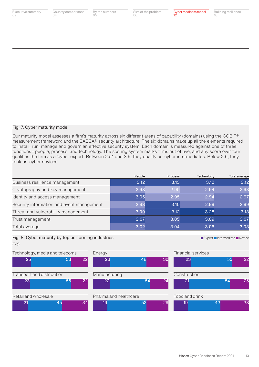| Country comparisons<br>04 | By the numbers<br>05 | Size of the problem<br>06 | Cyber readiness model<br>12 | <b>Building resilience</b><br>18 |
|---------------------------|----------------------|---------------------------|-----------------------------|----------------------------------|
|                           |                      |                           |                             |                                  |
|                           |                      |                           |                             |                                  |
|                           |                      |                           |                             |                                  |
|                           |                      |                           |                             |                                  |
|                           |                      |                           |                             |                                  |

#### Fig. 7. Cyber maturity model

Our maturity model assesses a firm's maturity across six different areas of capability (domains) using the COBIT® measurement framework and the SABSA® security architecture. The six domains make up all the elements required to install, run, manage and govern an effective security system. Each domain is measured against one of three functions – people, process, and technology. The scoring system marks firms out of five, and any score over four qualifies the firm as a 'cyber expert'. Between 2.51 and 3.9, they qualify as 'cyber intermediates'. Below 2.5, they rank as 'cyber novices'.

|                                           | People | <b>Process</b> | Technology | <b>Total average</b> |
|-------------------------------------------|--------|----------------|------------|----------------------|
| Business resilience management            | 3.12   | 3.13           | 3.10       | 3.12                 |
| Cryptography and key management           | 2.93   | 2.90           | 2.94       | 2.93                 |
| Identity and access management            | 3.05   | 2.95           | 2.94       | 2.97                 |
| Security information and event management | 2.93   | 3.10           | 2.99       | 2.99                 |
| Threat and vulnerability management       | 3.00   | 3.12           | 3.28       | 3.13                 |
| Trust management                          | 3.07   | 3.05           | 3.09       | 3.07                 |
| Total average                             | 3.02   | 3.04           | 3.06       | 3.03                 |

#### Fig. 8. Cyber maturity by top performing industries

 $(9/0)$ 

22 54 24 23 55 22 21 45 34 19 52 29 19 43 23 48 30 23 55 22 21 54 25 19 52 29 19 33 Technology, media and telecoms Energy Energy Financial services Transport and distribution Manufacturing Manufacturing Construction Retail and wholesale **Pharma and healthcare** Food and drink 25 53 22

**Expert Entermediate ENovice**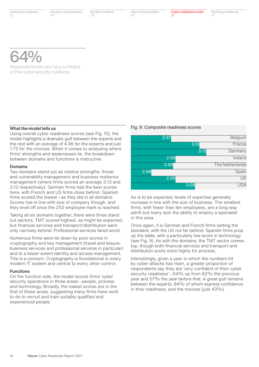Country comparisons  $04$ 

By the numbers 05

Size of the problem

06

Cyber readiness model 12

Building resilience 18

64%

Respondents who are 'very confident' of their cyber security readiness.

#### What the model tells us

Using overall cyber readiness scores (see Fig. 10), the model highlights a dramatic gulf between the experts and the rest with an average of 4.36 for the experts and just 1.72 for the novices. When it comes to analysing where firms' strengths and weaknesses lie, the breakdown between domains and functions is instructive.

#### Domains

Two domains stand out as relative strengths: threat and vulnerability management and business resilience management (where firms scored an average 3.13 and 3.12 respectively). German firms had the best scores here, with French and US firms close behind. Spanish firms scored the lowest – as they did in all domains. Scores rise in line with size of company though, and they level off once the 250 employee mark is reached.

Taking all six domains together, there were three stand out sectors. TMT scored highest, as might be expected, but financial services and transport/distribution were only narrowly behind. Professional services fared worst.

Numerous firms were let down by poor scores in cryptography and key management (travel and leisure, business services and professional services in particular) and to a lesser extent identity and access management. This is a concern. Cryptography is foundational to every modern IT system and central to every other control.

#### Functions

On the function side, the model scores firms' cyber security operations in three areas – people, process and technology. Broadly, the lowest scores are in the first of these areas, suggesting many firms have work to do to recruit and train suitably qualified and experienced people.

#### Fig. 9. Composite readiness scores

|      | 2.97 |      |      | Belgium                |
|------|------|------|------|------------------------|
|      |      | 3.10 |      | France                 |
|      |      |      | 3.13 | Germany                |
|      | 2.99 |      |      | Ireland                |
|      | 2.98 |      |      | The Netherlands        |
| 2.88 |      |      |      | Spain                  |
|      | 2.99 |      |      | $\overline{\text{UK}}$ |
|      |      | 3.08 |      | <b>USA</b>             |

As is to be expected, levels of expertise generally increase in line with the size of business. The smallest firms, with fewer than ten employees, are a long way adrift but many lack the ability to employ a specialist in this area.

Once again, it is German and French firms setting the standard, with the US not far behind. Spanish firms prop up the table, with a particularly low score in technology (see Fig. 9). As with the domains, the TMT sector comes top, though both financial services and transport and distribution score more highly for process.

Interestingly, given a year in which the numbers hit by cyber attacks has risen, a greater proportion of respondents say they are 'very confident of their cyber security readiness' – 64% up from 62% the previous year and 57% the year before that. A great gulf remains between the experts, 84% of whom express confidence in their readiness, and the novices (just 43%).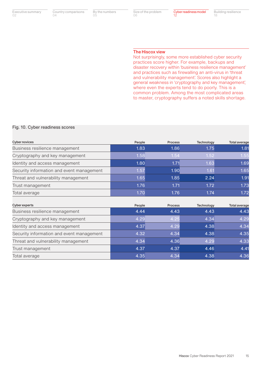Country comparisons 04

By the numbers 05

Size of the problem 06

#### The Hiscox view

Not surprisingly, some more established cyber security practices score higher. For example, backups and disaster recovery within 'business resilience management' and practices such as firewalling an anti-virus in 'threat and vulnerability management'. Scores also highlight a general weakness in 'cryptography and key management', where even the experts tend to do poorly. This is a common problem. Among the most complicated areas to master, cryptography suffers a noted skills shortage.

#### Fig. 10. Cyber readiness scores

| <b>Cyber novices</b>                      | People | <b>Process</b> | Technology | <b>Total average</b> |
|-------------------------------------------|--------|----------------|------------|----------------------|
| Business resilience management            | 1.83   | 1.86           | 1.75       | 1.81                 |
| Cryptography and key management           | 1.58   | 1.54           | 1.52       | 1.55                 |
| Identity and access management            | 1.80   | 1.71           | 1.63       | 1.69                 |
| Security information and event management | 1.57   | 1.90           | 1.61       | 1.65                 |
| Threat and vulnerability management       | 1.65   | 1.85           | 2.24       | 1.91                 |
| Trust management                          | 1.76   | 1.71           | 1.72       | 1.73                 |
| Total average                             | 1.70   | 1.76           | 1.74       | 1.72                 |
| <b>Cyber experts</b>                      | People | <b>Process</b> | Technology | <b>Total average</b> |
| Business resilience management            | 4.44   | 4.43           | 4.43       | 4.43                 |
| Cryptography and key management           | 4.29   | 4.25           | 4.34       | 4.29                 |

| Cryptography and key management           | 4.29 | 4.25 | 4.34 | 4.29 |
|-------------------------------------------|------|------|------|------|
| Identity and access management            | 4.37 | 4.29 | 4.38 | 4.34 |
| Security information and event management | 4.32 | 4.34 | 4.38 | 4.35 |
| Threat and vulnerability management       | 4.34 | 4.36 | 4.29 | 4.33 |
| Trust management                          | 4.37 | 4.37 | 4.46 | 4.41 |
| Total average                             | 4.35 | 4.34 | 4.38 | 4.36 |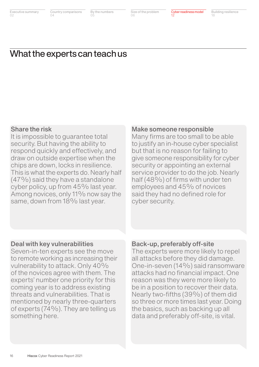Country comparisons 04

By the numbers 05

Size of the problem 06

Cyber readiness model 12

Building resilience 18

## What the experts can teach us

### Share the risk

It is impossible to guarantee total security. But having the ability to respond quickly and effectively, and draw on outside expertise when the chips are down, locks in resilience. This is what the experts do. Nearly half (47%) said they have a standalone cyber policy, up from 45% last year. Among novices, only 11% now say the same, down from 18% last year.

### Make someone responsible

Many firms are too small to be able to justify an in-house cyber specialist but that is no reason for failing to give someone responsibility for cyber security or appointing an external service provider to do the job. Nearly half (48%) of firms with under ten employees and 45% of novices said they had no defined role for cyber security.

### Deal with key vulnerabilities

Seven-in-ten experts see the move to remote working as increasing their vulnerability to attack. Only 40% of the novices agree with them. The experts' number one priority for this coming year is to address existing threats and vulnerabilities. That is mentioned by nearly three-quarters of experts (74%). They are telling us something here.

### Back-up, preferably off-site

The experts were more likely to repel all attacks before they did damage. One-in-seven (14%) said ransomware attacks had no financial impact. One reason was they were more likely to be in a position to recover their data. Nearly two-fifths (39%) of them did so three or more times last year. Doing the basics, such as backing up all data and preferably off-site, is vital.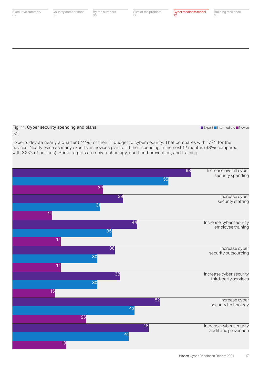

31

30

26

30

38

41

43

48

52

36

35

44

14

15

17

17

19

security staffing

Increase cyber security outsourcing

Increase cyber security technology

Increase cyber security employee training

Increase cyber security third-party services

Increase cyber security audit and prevention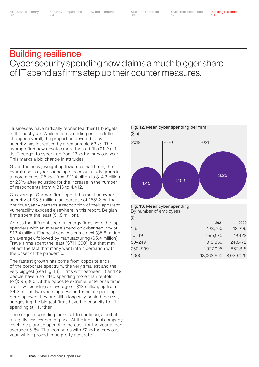Size of the problem 06

## Building resilience

## Cyber security spending now claims a much bigger share of IT spend as firms step up their counter measures.

Businesses have radically reoriented their IT budgets in the past year. While mean spending on IT is little changed overall, the proportion devoted to cyber security has increased by a remarkable 63%. The average firm now devotes more than a fifth (21%) of its IT budget to cyber – up from 13% the previous year. This marks a big change in attitudes.

Given the heavy weighting towards small firms, the overall rise in cyber spending across our study group is a more modest 25% – from \$11.4 billion to \$14.3 billion or 23% after adjusting for the increase in the number of respondents from 4,313 to 4,412.

On average, German firms spent the most on cyber security at \$5.5 million, an increase of 155% on the previous year – perhaps a recognition of their apparent vulnerability exposed elsewhere in this report. Belgian firms spent the least (\$1.8 million).

Across the different sectors, energy firms were the top spenders with an average spend on cyber security of \$13.4 million. Financial services came next (\$5.6 million on average), followed by manufacturing (\$5.4 million). Travel firms spent the least (\$711,000), but that may reflect the fact that many went into hibernation with the onset of the pandemic.

The fastest growth has come from opposite ends of the corporate spectrum, the very smallest and the very biggest (see Fig. 13). Firms with between 10 and 49 people have also lifted spending more than tenfold – to \$395,000. At the opposite extreme, enterprise firms are now spending an average of \$13 million, up from \$4.2 million two years ago. But in terms of spending per employee they are still a long way behind the rest, suggesting the biggest firms have the capacity to lift spending still further.

The surge in spending looks set to continue, albeit at a slightly less exuberant pace. At the individual company level, the planned spending increase for the year ahead averages 51%. That compares with 72% the previous year, which proved to be pretty accurate.



#### Fig. 13. Mean cyber spending

Fig. 12. Mean cyber spending per firm

(\$)

|            | 2021       | 2020      |
|------------|------------|-----------|
| $1 - 9$    | 123,700    | 13,299    |
| 10–49      | 395,075    | 79,422    |
| $50 - 249$ | 318,339    | 248,472   |
| 250-999    | 1,927,095  | 862,818   |
| $1,000+$   | 13,063,690 | 8,029,026 |

By number of employees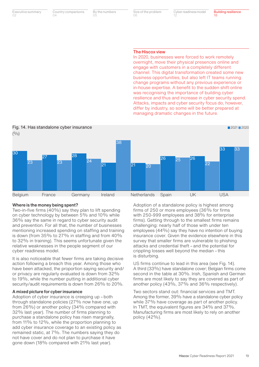Country comparisons  $04$ 

By the numbers 05

Size of the problem  $\bigcap$ 

Cyber readiness model 12

#### The Hiscox view

In 2020, businesses were forced to work remotely overnight, move their physical presences online and engage with customers in a completely different channel. This digital transformation created some new business opportunities, but also left IT teams running change programs without any previous experience or in-house expertise. A benefit to the sudden shift online was recognising the importance of building cyber resilience and thus and increase in cyber security spend. Attacks, impacts and cyber security focus do, however, differ by industry, so some will be better prepared at managing dramatic changes in the future.



#### Where is the money being spent?

Two-in-five firms (40%) say they plan to lift spending on cyber technology by between 5% and 10% while 36% say the same in regard to cyber security audit and prevention. For all that, the number of businesses mentioning increased spending on staffing and training is down (from 35% to 27% in staffing and from 40% to 32% in training). This seems unfortunate given the relative weaknesses in the people segment of our cyber readiness model.

It is also noticeable that fewer firms are taking decisive action following a breach this year. Among those who have been attacked, the proportion saying security and/ or privacy are regularly evaluated is down from 32% to 19%, while the number putting in additional cyber security/audit requirements is down from 26% to 20%.

#### A mixed picture for cyber insurance

Adoption of cyber insurance is creeping up – both through standalone policies (27% now have one, up from 26%) or another policy (34% compared with 32% last year). The number of firms planning to purchase a standalone policy has risen marginally, from 11% to 12%, while the proportion planning to add cyber insurance coverage to an existing policy as remained static, at 7%. The numbers saying they do not have cover and do not plan to purchase it have gone down (18% compared with 21% last year).

Adoption of a standalone policy is highest among firms of 250 or more employees (36% for firms with 250-999 employees and 38% for enterprise firms). Getting through to the smallest firms remains challenging: nearly half of those with under ten employees (44%) say they have no intention of buying insurance cover. Given the evidence elsewhere in this survey that smaller firms are vulnerable to phishing attacks and credential theft – and the potential for crippling losses well beyond the median – this is disturbing.

US firms continue to lead in this area (see Fig. 14). A third (33%) have standalone cover; Belgian firms come second in the table at 30%. Irish, Spanish and German firms are most likely to say they are covered as part of another policy (43%, 37% and 36% respectively).

Two sectors stand out: financial services and TMT. Among the former, 39% have a standalone cyber policy while 37% have coverage as part of another policy. In TMT, the equivalent figures are 34% and 37%. Manufacturing firms are most likely to rely on another policy (42%).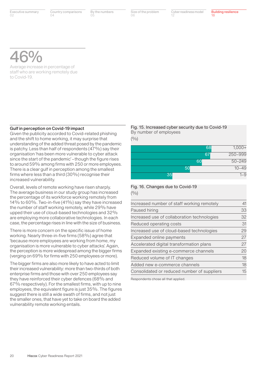Country comparisons  $04$ 

By the numbers 05

Size of the problem

06

Cyber readiness model 12

Building resilience 18

# 46%

Average increase in percentage of staff who are working remotely due to Covid-19.

#### Gulf in perception on Covid-19 impact

Given the publicity accorded to Covid-related phishing and the shift to home working, it may surprise that understanding of the added threat posed by the pandemic is patchy. Less than half of respondents (47%) say their organisation 'has been more vulnerable to cyber attack since the start of the pandemic' – though the figure rises to around 59% among firms with 250 or more employees. There is a clear gulf in perception among the smallest firms where less than a third (30%) recognise their increased vulnerability.

Overall, levels of remote working have risen sharply. The average business in our study group has increased the percentage of its workforce working remotely from 14% to 60%. Two-in-five (41%) say they have increased the number of staff working remotely, while 29% have upped their use of cloud-based technologies and 32% are employing more collaborative technologies. In each case, the percentage rises in line with the size of business.

There is more concern on the specific issue of home working. Nearly three-in-five firms (58%) agree that 'because more employees are working from home, my organisation is more vulnerable to cyber attacks'. Again, the perception is more widespread among the bigger firms (verging on 69% for firms with 250 employees or more).

The bigger firms are also more likely to have acted to limit their increased vulnerability: more than two-thirds of both enterprise firms and those with over 250 employees say they have reinforced their cyber defences (68% and 67% respectively). For the smallest firms, with up to nine employees, the equivalent figure is just 35%. The figures suggest there is still a wide swath of firms, and not just the smaller ones, that have yet to take on board the added vulnerability remote working entails.

### Fig. 15. Increased cyber security due to Covid-19 By number of employees

 $(9/0)$ 

|    | 68 | $1,000+$   |
|----|----|------------|
|    | 67 | 250-999    |
|    | 60 | $50 - 249$ |
| 50 |    | $10 - 49$  |
| 35 |    | $1 - 9$    |

### Fig. 16. Changes due to Covid-19  $(0/0)$

| Increased number of staff working remotely  | 41               |
|---------------------------------------------|------------------|
| Paused hiring                               | 33               |
| Increased use of collaboration technologies | 32               |
| Reduced operating costs                     | 31               |
| Increased use of cloud-based technologies   | 29               |
| Expanded online payments                    | 27               |
| Accelerated digital transformation plans    | 27               |
| Expanded existing e-commerce channels       | 20               |
| Reduced volume of IT changes                | 18               |
| Added new e-commerce channels               | 18               |
| Consolidated or reduced number of suppliers | $15\overline{)}$ |

Respondents chose all that applied.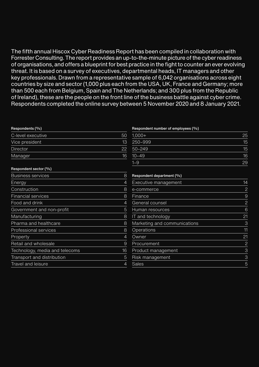The fifth annual Hiscox Cyber Readiness Report has been compiled in collaboration with Forrester Consulting. The report provides an up-to-the-minute picture of the cyber readiness of organisations, and offers a blueprint for best practice in the fight to counter an ever evolving threat. It is based on a survey of executives, departmental heads, IT managers and other key professionals. Drawn from a representative sample of 6,042 organisations across eight countries by size and sector (1,000 plus each from the USA, UK, France and Germany; more than 500 each from Belgium, Spain and The Netherlands; and 300 plus from the Republic of Ireland), these are the people on the front line of the business battle against cyber crime. Respondents completed the online survey between 5 November 2020 and 8 January 2021.

| Respondents (%)                |                | Respondent number of employees (%) |                |
|--------------------------------|----------------|------------------------------------|----------------|
| C-level executive              | 50             | $1,000+$                           | 25             |
| Vice president                 | 13             | 250-999                            | 15             |
| <b>Director</b>                | 22             | $50 - 249$                         | 15             |
| Manager                        | 16             | $10 - 49$                          | 16             |
|                                |                | $1 - 9$                            | 29             |
| Respondent sector (%)          |                |                                    |                |
| <b>Business services</b>       | 8              | Respondent department (%)          |                |
| Energy                         | $\overline{4}$ | Executive management               | 14             |
| Construction                   | 8              | e-commerce                         | $\overline{c}$ |
| <b>Financial services</b>      | 8              | <b>Finance</b>                     | 9              |
| Food and drink                 | 4              | General counsel                    | $\overline{c}$ |
| Government and non-profit      | 5              | Human resources                    | 6              |
| Manufacturing                  | 8              | IT and technology                  | 21             |
| Pharma and healthcare          | 8              | Marketing and communications       | 3              |
| Professional services          | 8              | <b>Operations</b>                  | 11             |
| Property                       | 4              | Owner                              | 21             |
| Retail and wholesale           | 9              | Procurement                        | $\overline{2}$ |
| Technology, media and telecoms | 16             | Product management                 | 3              |
| Transport and distribution     | 5              | Risk management                    | 3              |
| Travel and leisure             | 4              | Sales                              | 5              |
|                                |                |                                    |                |